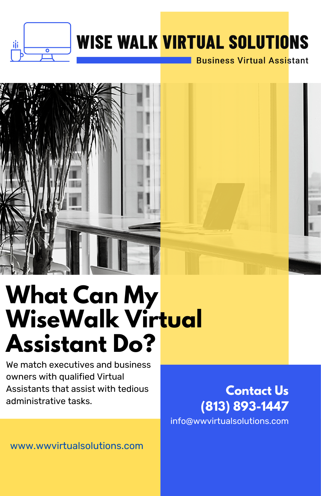

### **WISE WALK VIRTUAL SOLUTIONS**

**Business Virtual Assistant** 



## **What Can My WiseWalk Virtual Assistant Do?**

We match executives and business owners with qualified Virtual Assistants that assist with tedious administrative tasks.

**Contact Us (813) 893-1447** info@wwvirtualsolutions.com

www.wwvirtualsolutions.com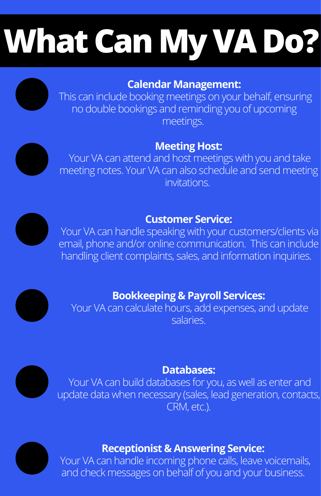# **What Can My VA Do?**

#### **Calendar Management:**

This can include booking meetings on your behalf, ensuring no double bookings and reminding you of upcoming meetings.

#### **Meeting Host:**

Your VA can attend and host meetings with you and take meeting notes. Your VA can also schedule and send meeting invitations.

#### **Customer Service:**

Your VA can handle speaking with your customers/clients via email, phone and/or online communication. This can include handling client complaints, sales, and information inquiries.

### **Bookkeeping & Payroll Services:**

Your VA can calculate hours, add expenses, and update salaries.

#### **Databases:**

Your VA can build databases for you, as well as enter and update data when necessary (sales, lead generation, contacts, CRM, etc.).



#### **Receptionist & Answering Service:**

Your VA can handle incoming phone calls, leave voicemails, and check messages on behalf of you and your business.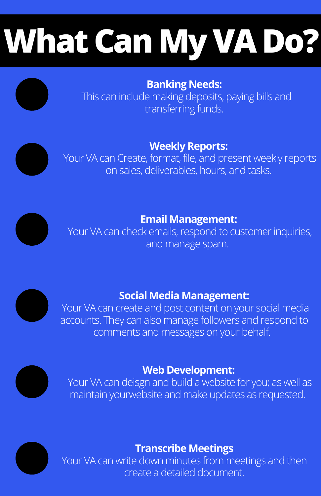# **What Can My VA Do?**

**Banking Needs:**

This can include making deposits, paying bills and transferring funds.

#### **Weekly Reports:**

Your VA can Create, format, file, and present weekly reports on sales, deliverables, hours, and tasks.



**Email Management:**

Your VA can check emails, respond to customer inquiries, and manage spam.



#### **Social Media Management:**

Your VA can create and post content on your social media accounts. They can also manage followers and respond to comments and messages on your behalf.



#### **Web Development:**

Your VA can deisgn and build a website for you; as well as maintain yourwebsite and make updates as requested.



### **Transcribe Meetings**

Your VA can write down minutes from meetings and then create a detailed document.